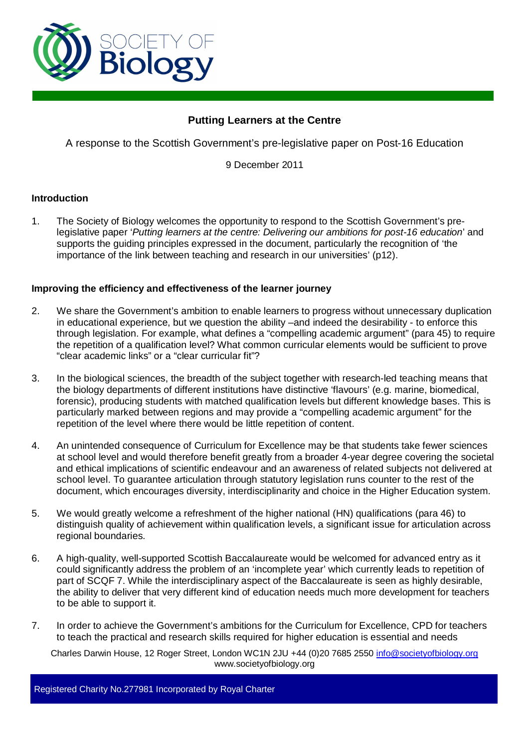

# **Putting Learners at the Centre**

A response to the Scottish Government's pre-legislative paper on Post-16 Education

9 December 2011

## **Introduction**

1. The Society of Biology welcomes the opportunity to respond to the Scottish Government's prelegislative paper '*Putting learners at the centre: Delivering our ambitions for post-16 education*' and supports the guiding principles expressed in the document, particularly the recognition of 'the importance of the link between teaching and research in our universities' (p12).

## **Improving the efficiency and effectiveness of the learner journey**

- 2. We share the Government's ambition to enable learners to progress without unnecessary duplication in educational experience, but we question the ability –and indeed the desirability - to enforce this through legislation. For example, what defines a "compelling academic argument" (para 45) to require the repetition of a qualification level? What common curricular elements would be sufficient to prove "clear academic links" or a "clear curricular fit"?
- 3. In the biological sciences, the breadth of the subject together with research-led teaching means that the biology departments of different institutions have distinctive 'flavours' (e.g. marine, biomedical, forensic), producing students with matched qualification levels but different knowledge bases. This is particularly marked between regions and may provide a "compelling academic argument" for the repetition of the level where there would be little repetition of content.
- 4. An unintended consequence of Curriculum for Excellence may be that students take fewer sciences at school level and would therefore benefit greatly from a broader 4-year degree covering the societal and ethical implications of scientific endeavour and an awareness of related subjects not delivered at school level. To guarantee articulation through statutory legislation runs counter to the rest of the document, which encourages diversity, interdisciplinarity and choice in the Higher Education system.
- 5. We would greatly welcome a refreshment of the higher national (HN) qualifications (para 46) to distinguish quality of achievement within qualification levels, a significant issue for articulation across regional boundaries.
- 6. A high-quality, well-supported Scottish Baccalaureate would be welcomed for advanced entry as it could significantly address the problem of an 'incomplete year' which currently leads to repetition of part of SCQF 7. While the interdisciplinary aspect of the Baccalaureate is seen as highly desirable, the ability to deliver that very different kind of education needs much more development for teachers to be able to support it.
- 7. In order to achieve the Government's ambitions for the Curriculum for Excellence, CPD for teachers to teach the practical and research skills required for higher education is essential and needs

Charles Darwin House, 12 Roger Street, London WC1N 2JU +44 (0)20 7685 2550 info@societyofbiology.org www.societyofbiology.org

Registered Charity No.277981 Incorporated by Royal Charter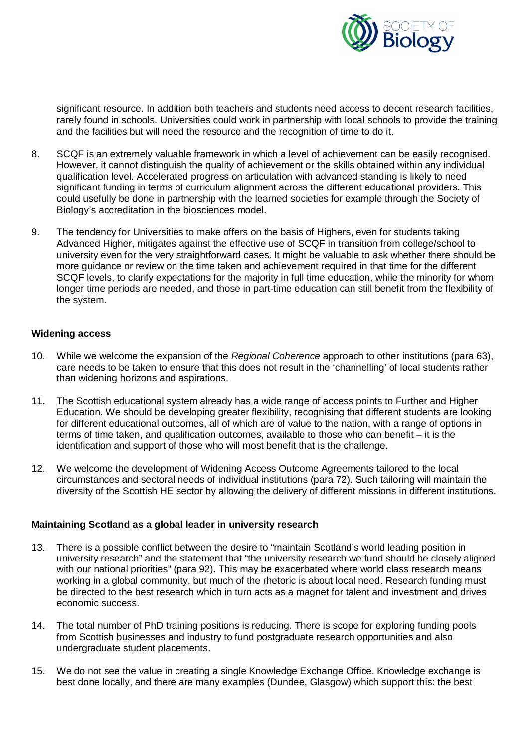

significant resource. In addition both teachers and students need access to decent research facilities, rarely found in schools. Universities could work in partnership with local schools to provide the training and the facilities but will need the resource and the recognition of time to do it.

- 8. SCQF is an extremely valuable framework in which a level of achievement can be easily recognised. However, it cannot distinguish the quality of achievement or the skills obtained within any individual qualification level. Accelerated progress on articulation with advanced standing is likely to need significant funding in terms of curriculum alignment across the different educational providers. This could usefully be done in partnership with the learned societies for example through the Society of Biology's accreditation in the biosciences model.
- 9. The tendency for Universities to make offers on the basis of Highers, even for students taking Advanced Higher, mitigates against the effective use of SCQF in transition from college/school to university even for the very straightforward cases. It might be valuable to ask whether there should be more guidance or review on the time taken and achievement required in that time for the different SCQF levels, to clarify expectations for the majority in full time education, while the minority for whom longer time periods are needed, and those in part-time education can still benefit from the flexibility of the system.

## **Widening access**

- 10. While we welcome the expansion of the *Regional Coherence* approach to other institutions (para 63), care needs to be taken to ensure that this does not result in the 'channelling' of local students rather than widening horizons and aspirations.
- 11. The Scottish educational system already has a wide range of access points to Further and Higher Education. We should be developing greater flexibility, recognising that different students are looking for different educational outcomes, all of which are of value to the nation, with a range of options in terms of time taken, and qualification outcomes, available to those who can benefit – it is the identification and support of those who will most benefit that is the challenge.
- 12. We welcome the development of Widening Access Outcome Agreements tailored to the local circumstances and sectoral needs of individual institutions (para 72). Such tailoring will maintain the diversity of the Scottish HE sector by allowing the delivery of different missions in different institutions.

## **Maintaining Scotland as a global leader in university research**

- 13. There is a possible conflict between the desire to "maintain Scotland's world leading position in university research" and the statement that "the university research we fund should be closely aligned with our national priorities" (para 92). This may be exacerbated where world class research means working in a global community, but much of the rhetoric is about local need. Research funding must be directed to the best research which in turn acts as a magnet for talent and investment and drives economic success.
- 14. The total number of PhD training positions is reducing. There is scope for exploring funding pools from Scottish businesses and industry to fund postgraduate research opportunities and also undergraduate student placements.
- 15. We do not see the value in creating a single Knowledge Exchange Office. Knowledge exchange is best done locally, and there are many examples (Dundee, Glasgow) which support this: the best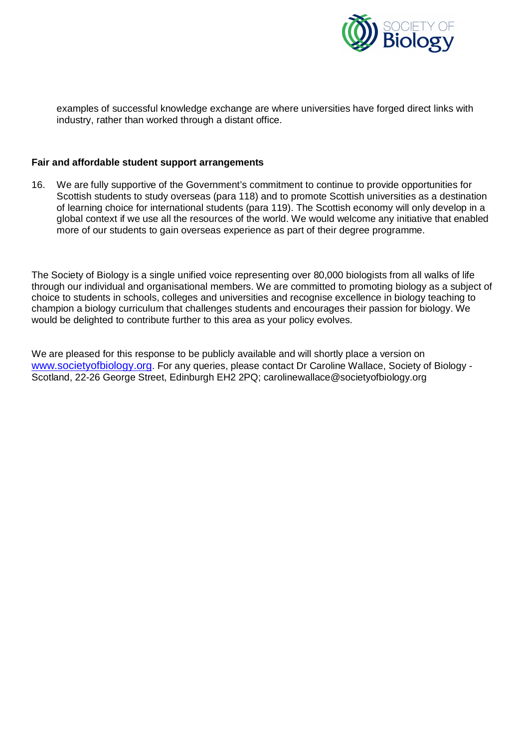

examples of successful knowledge exchange are where universities have forged direct links with industry, rather than worked through a distant office.

## **Fair and affordable student support arrangements**

16. We are fully supportive of the Government's commitment to continue to provide opportunities for Scottish students to study overseas (para 118) and to promote Scottish universities as a destination of learning choice for international students (para 119). The Scottish economy will only develop in a global context if we use all the resources of the world. We would welcome any initiative that enabled more of our students to gain overseas experience as part of their degree programme.

The Society of Biology is a single unified voice representing over 80,000 biologists from all walks of life through our individual and organisational members. We are committed to promoting biology as a subject of choice to students in schools, colleges and universities and recognise excellence in biology teaching to champion a biology curriculum that challenges students and encourages their passion for biology. We would be delighted to contribute further to this area as your policy evolves.

We are pleased for this response to be publicly available and will shortly place a version on [www.societyofbiology.org](http://www.societyofbiology.org/). For any queries, please contact Dr Caroline Wallace, Society of Biology -Scotland, 22-26 George Street, Edinburgh EH2 2PQ; carolinewallace@societyofbiology.org